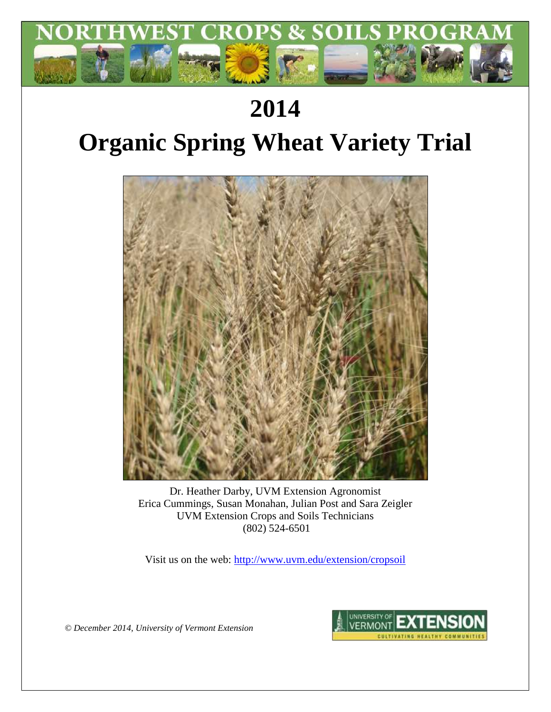

## **2014**

# **Organic Spring Wheat Variety Trial**



Dr. Heather Darby, UVM Extension Agronomist Erica Cummings, Susan Monahan, Julian Post and Sara Zeigler UVM Extension Crops and Soils Technicians (802) 524-6501

Visit us on the web:<http://www.uvm.edu/extension/cropsoil>

*© December 2014, University of Vermont Extension*

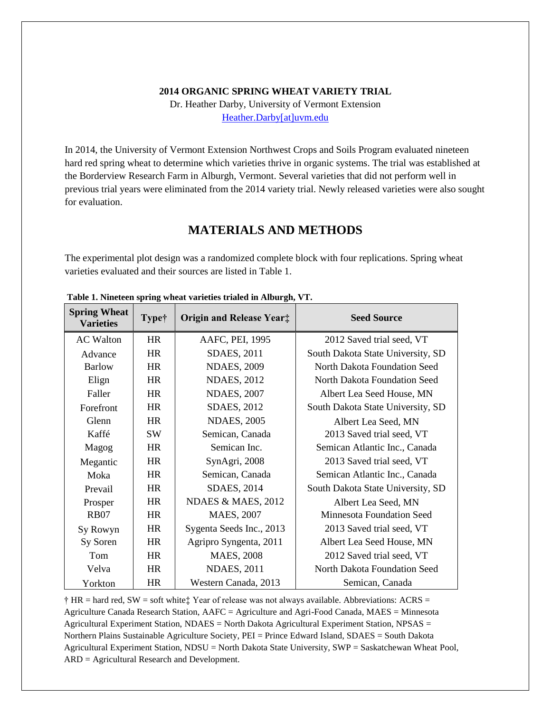#### **2014 ORGANIC SPRING WHEAT VARIETY TRIAL**

Dr. Heather Darby, University of Vermont Extension [Heather.Darby\[at\]uvm.edu](mailto:Heather.Darby@uvm.edu)

In 2014, the University of Vermont Extension Northwest Crops and Soils Program evaluated nineteen hard red spring wheat to determine which varieties thrive in organic systems. The trial was established at the Borderview Research Farm in Alburgh, Vermont. Several varieties that did not perform well in previous trial years were eliminated from the 2014 variety trial. Newly released varieties were also sought for evaluation.

## **MATERIALS AND METHODS**

The experimental plot design was a randomized complete block with four replications. Spring wheat varieties evaluated and their sources are listed in Table 1.

| <b>Spring Wheat</b><br><b>Varieties</b> | <b>Type†</b> | <b>Origin and Release Year:</b> | <b>Seed Source</b>                |  |  |  |
|-----------------------------------------|--------------|---------------------------------|-----------------------------------|--|--|--|
| <b>AC</b> Walton                        | HR           | AAFC, PEI, 1995                 | 2012 Saved trial seed, VT         |  |  |  |
| Advance                                 | <b>HR</b>    | <b>SDAES</b> , 2011             | South Dakota State University, SD |  |  |  |
| <b>Barlow</b>                           | HR           | <b>NDAES, 2009</b>              | North Dakota Foundation Seed      |  |  |  |
| Elign                                   | HR           | <b>NDAES, 2012</b>              | North Dakota Foundation Seed      |  |  |  |
| Faller                                  | <b>HR</b>    | <b>NDAES, 2007</b>              | Albert Lea Seed House, MN         |  |  |  |
| Forefront                               | <b>HR</b>    | SDAES, 2012                     | South Dakota State University, SD |  |  |  |
| Glenn                                   | HR           | <b>NDAES, 2005</b>              | Albert Lea Seed, MN               |  |  |  |
| Kaffé                                   | <b>SW</b>    | Semican, Canada                 | 2013 Saved trial seed, VT         |  |  |  |
| Magog                                   | <b>HR</b>    | Semican Inc.                    | Semican Atlantic Inc., Canada     |  |  |  |
| Megantic                                | HR           | SynAgri, 2008                   | 2013 Saved trial seed, VT         |  |  |  |
| Moka                                    | <b>HR</b>    | Semican, Canada                 | Semican Atlantic Inc., Canada     |  |  |  |
| Prevail                                 | HR           | SDAES, 2014                     | South Dakota State University, SD |  |  |  |
| Prosper                                 | <b>HR</b>    | NDAES & MAES, 2012              | Albert Lea Seed, MN               |  |  |  |
| <b>RB07</b>                             | HR           | MAES, 2007                      | Minnesota Foundation Seed         |  |  |  |
| Sy Rowyn                                | HR           | Sygenta Seeds Inc., 2013        | 2013 Saved trial seed, VT         |  |  |  |
| Sy Soren                                | <b>HR</b>    | Agripro Syngenta, 2011          | Albert Lea Seed House, MN         |  |  |  |
| Tom                                     | HR           | <b>MAES, 2008</b>               | 2012 Saved trial seed, VT         |  |  |  |
| Velva                                   | <b>HR</b>    | <b>NDAES</b> , 2011             | North Dakota Foundation Seed      |  |  |  |
| Yorkton                                 | HR           | Western Canada, 2013            | Semican, Canada                   |  |  |  |

**Table 1. Nineteen spring wheat varieties trialed in Alburgh, VT.**

 $\dagger$  HR = hard red, SW = soft white $\ddagger$  Year of release was not always available. Abbreviations: ACRS = Agriculture Canada Research Station, AAFC = Agriculture and Agri-Food Canada, MAES = Minnesota Agricultural Experiment Station, NDAES = North Dakota Agricultural Experiment Station, NPSAS = Northern Plains Sustainable Agriculture Society, PEI = Prince Edward Island, SDAES = South Dakota Agricultural Experiment Station, NDSU = North Dakota State University, SWP = Saskatchewan Wheat Pool, ARD = Agricultural Research and Development.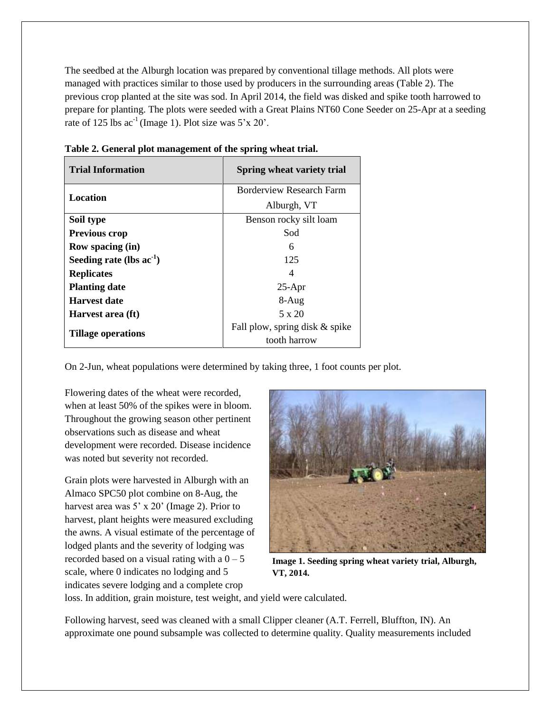The seedbed at the Alburgh location was prepared by conventional tillage methods. All plots were managed with practices similar to those used by producers in the surrounding areas (Table 2). The previous crop planted at the site was sod. In April 2014, the field was disked and spike tooth harrowed to prepare for planting. The plots were seeded with a Great Plains NT60 Cone Seeder on 25-Apr at a seeding rate of 125 lbs  $ac^{-1}$  (Image 1). Plot size was 5'x 20'.

| <b>Trial Information</b>      | Spring wheat variety trial     |  |  |  |
|-------------------------------|--------------------------------|--|--|--|
| <b>Location</b>               | Borderview Research Farm       |  |  |  |
|                               | Alburgh, VT                    |  |  |  |
| Soil type                     | Benson rocky silt loam         |  |  |  |
| <b>Previous crop</b>          | Sod                            |  |  |  |
| <b>Row spacing (in)</b>       | 6                              |  |  |  |
| Seeding rate (lbs $ac^{-1}$ ) | 125                            |  |  |  |
| <b>Replicates</b>             | 4                              |  |  |  |
| <b>Planting date</b>          | $25-Apr$                       |  |  |  |
| Harvest date                  | $8-Aug$                        |  |  |  |
| Harvest area (ft)             | $5 \times 20$                  |  |  |  |
| <b>Tillage operations</b>     | Fall plow, spring disk & spike |  |  |  |
|                               | tooth harrow                   |  |  |  |

**Table 2. General plot management of the spring wheat trial.**

On 2-Jun, wheat populations were determined by taking three, 1 foot counts per plot.

Flowering dates of the wheat were recorded, when at least 50% of the spikes were in bloom. Throughout the growing season other pertinent observations such as disease and wheat development were recorded. Disease incidence was noted but severity not recorded.

Grain plots were harvested in Alburgh with an Almaco SPC50 plot combine on 8-Aug, the harvest area was 5' x 20' (Image 2). Prior to harvest, plant heights were measured excluding the awns. A visual estimate of the percentage of lodged plants and the severity of lodging was recorded based on a visual rating with a  $0 - 5$ scale, where 0 indicates no lodging and 5 indicates severe lodging and a complete crop



**Image 1. Seeding spring wheat variety trial, Alburgh, VT, 2014.**

loss. In addition, grain moisture, test weight, and yield were calculated.

Following harvest, seed was cleaned with a small Clipper cleaner (A.T. Ferrell, Bluffton, IN). An approximate one pound subsample was collected to determine quality. Quality measurements included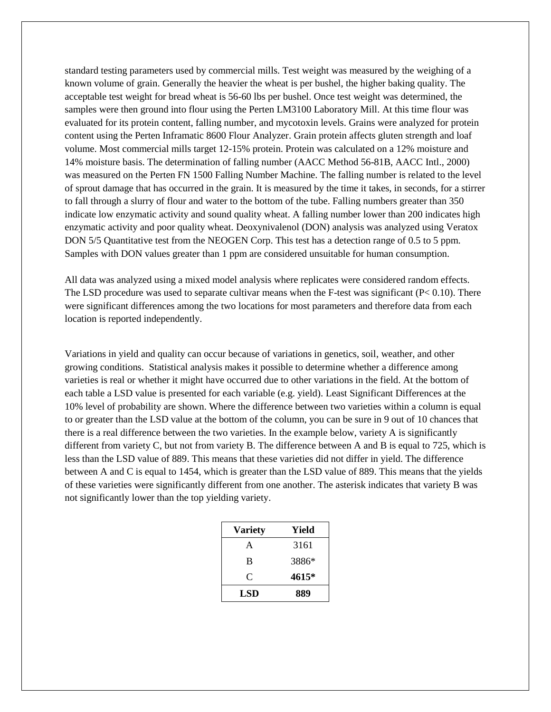standard testing parameters used by commercial mills. Test weight was measured by the weighing of a known volume of grain. Generally the heavier the wheat is per bushel, the higher baking quality. The acceptable test weight for bread wheat is 56-60 lbs per bushel. Once test weight was determined, the samples were then ground into flour using the Perten LM3100 Laboratory Mill. At this time flour was evaluated for its protein content, falling number, and mycotoxin levels. Grains were analyzed for protein content using the Perten Inframatic 8600 Flour Analyzer. Grain protein affects gluten strength and loaf volume. Most commercial mills target 12-15% protein. Protein was calculated on a 12% moisture and 14% moisture basis. The determination of falling number (AACC Method 56-81B, AACC Intl., 2000) was measured on the Perten FN 1500 Falling Number Machine. The falling number is related to the level of sprout damage that has occurred in the grain. It is measured by the time it takes, in seconds, for a stirrer to fall through a slurry of flour and water to the bottom of the tube. Falling numbers greater than 350 indicate low enzymatic activity and sound quality wheat. A falling number lower than 200 indicates high enzymatic activity and poor quality wheat. Deoxynivalenol (DON) analysis was analyzed using Veratox DON 5/5 Quantitative test from the NEOGEN Corp. This test has a detection range of 0.5 to 5 ppm. Samples with DON values greater than 1 ppm are considered unsuitable for human consumption.

All data was analyzed using a mixed model analysis where replicates were considered random effects. The LSD procedure was used to separate cultivar means when the F-test was significant ( $P < 0.10$ ). There were significant differences among the two locations for most parameters and therefore data from each location is reported independently.

Variations in yield and quality can occur because of variations in genetics, soil, weather, and other growing conditions. Statistical analysis makes it possible to determine whether a difference among varieties is real or whether it might have occurred due to other variations in the field. At the bottom of each table a LSD value is presented for each variable (e.g. yield). Least Significant Differences at the 10% level of probability are shown. Where the difference between two varieties within a column is equal to or greater than the LSD value at the bottom of the column, you can be sure in 9 out of 10 chances that there is a real difference between the two varieties. In the example below, variety A is significantly different from variety C, but not from variety B. The difference between A and B is equal to 725, which is less than the LSD value of 889. This means that these varieties did not differ in yield. The difference between A and C is equal to 1454, which is greater than the LSD value of 889. This means that the yields of these varieties were significantly different from one another. The asterisk indicates that variety B was not significantly lower than the top yielding variety.

| <b>Variety</b> | Yield |
|----------------|-------|
| A              | 3161  |
| B              | 3886* |
| C              | 4615* |
| LSD            | 889   |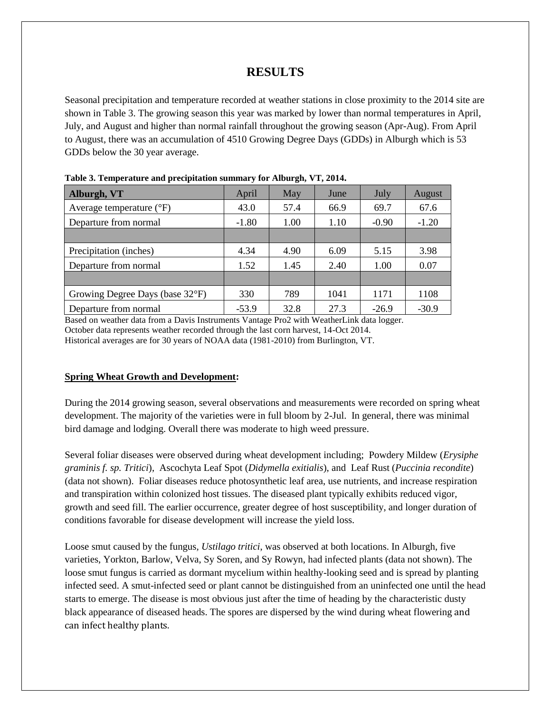## **RESULTS**

Seasonal precipitation and temperature recorded at weather stations in close proximity to the 2014 site are shown in Table 3. The growing season this year was marked by lower than normal temperatures in April, July, and August and higher than normal rainfall throughout the growing season (Apr-Aug). From April to August, there was an accumulation of 4510 Growing Degree Days (GDDs) in Alburgh which is 53 GDDs below the 30 year average.

| Alburgh, VT                       | April   | May  | June | July    | August  |
|-----------------------------------|---------|------|------|---------|---------|
| Average temperature $(^{\circ}F)$ | 43.0    | 57.4 | 66.9 | 69.7    | 67.6    |
| Departure from normal             | $-1.80$ | 1.00 | 1.10 | $-0.90$ | $-1.20$ |
|                                   |         |      |      |         |         |
| Precipitation (inches)            | 4.34    | 4.90 | 6.09 | 5.15    | 3.98    |
| Departure from normal             | 1.52    | 1.45 | 2.40 | 1.00    | 0.07    |
|                                   |         |      |      |         |         |
| Growing Degree Days (base 32°F)   | 330     | 789  | 1041 | 1171    | 1108    |
| Departure from normal             | $-53.9$ | 32.8 | 27.3 | $-26.9$ | $-30.9$ |

**Table 3. Temperature and precipitation summary for Alburgh, VT, 2014.**

Based on weather data from a Davis Instruments Vantage Pro2 with WeatherLink data logger. October data represents weather recorded through the last corn harvest, 14-Oct 2014. Historical averages are for 30 years of NOAA data (1981-2010) from Burlington, VT.

#### **Spring Wheat Growth and Development:**

During the 2014 growing season, several observations and measurements were recorded on spring wheat development. The majority of the varieties were in full bloom by 2-Jul. In general, there was minimal bird damage and lodging. Overall there was moderate to high weed pressure.

Several foliar diseases were observed during wheat development including; Powdery Mildew (*Erysiphe graminis f. sp. Tritici*), Ascochyta Leaf Spot (*Didymella exitialis*), and Leaf Rust (*Puccinia recondite*) (data not shown). Foliar diseases reduce photosynthetic leaf area, use nutrients, and increase respiration and transpiration within colonized host tissues. The diseased plant typically exhibits reduced vigor, growth and seed fill. The earlier occurrence, greater degree of host susceptibility, and longer duration of conditions favorable for disease development will increase the yield loss.

Loose smut caused by the fungus*, Ustilago tritici*, was observed at both locations. In Alburgh, five varieties, Yorkton, Barlow, Velva, Sy Soren, and Sy Rowyn, had infected plants (data not shown). The loose smut fungus is carried as dormant mycelium within healthy-looking seed and is spread by planting infected seed. A smut-infected seed or plant cannot be distinguished from an uninfected one until the head starts to emerge. The disease is most obvious just after the time of heading by the characteristic dusty black appearance of diseased heads. The spores are dispersed by the wind during wheat flowering and can infect healthy plants.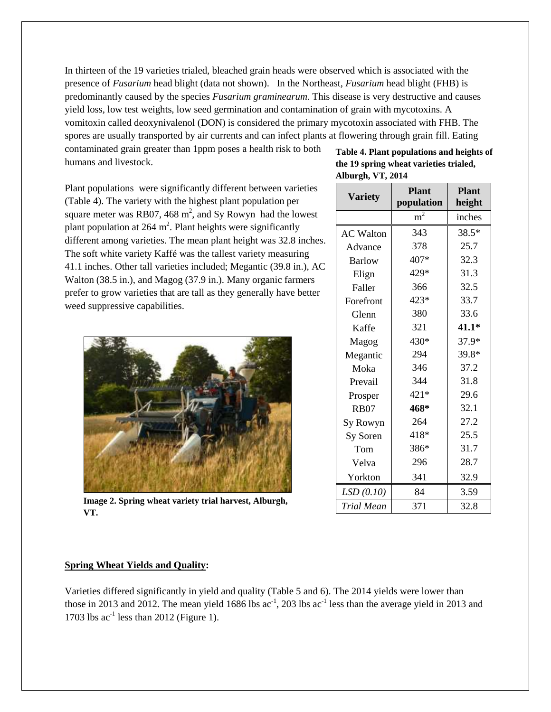In thirteen of the 19 varieties trialed, bleached grain heads were observed which is associated with the presence of *Fusarium* head blight (data not shown). In the Northeast, *Fusarium* head blight (FHB) is predominantly caused by the species *Fusarium graminearum*. This disease is very destructive and causes yield loss, low test weights, low seed germination and contamination of grain with mycotoxins. A vomitoxin called deoxynivalenol (DON) is considered the primary mycotoxin associated with FHB. The spores are usually transported by air currents and can infect plants at flowering through grain fill. Eating

contaminated grain greater than 1ppm poses a health risk to both humans and livestock.

Plant populations were significantly different between varieties (Table 4). The variety with the highest plant population per square meter was RB07, 468  $m^2$ , and Sy Rowyn had the lowest plant population at  $264 \text{ m}^2$ . Plant heights were significantly different among varieties. The mean plant height was 32.8 inches. The soft white variety Kaffé was the tallest variety measuring 41.1 inches. Other tall varieties included; Megantic (39.8 in.), AC Walton (38.5 in.), and Magog (37.9 in.). Many organic farmers prefer to grow varieties that are tall as they generally have better weed suppressive capabilities.



*Triangue 2. Spring wheat variety trial harvest, Alburgh,* **VT.**

#### **Table 4. Plant populations and heights of the 19 spring wheat varieties trialed, Alburgh, VT, 2014**

| <b>Variety</b>   | <b>Plant</b><br>population | <b>Plant</b><br>height |  |  |
|------------------|----------------------------|------------------------|--|--|
|                  | m <sup>2</sup>             | inches                 |  |  |
| <b>AC Walton</b> | 343                        | 38.5*                  |  |  |
| Advance          | 378                        | 25.7                   |  |  |
| <b>Barlow</b>    | 407*                       | 32.3                   |  |  |
| Elign            | 429*                       | 31.3                   |  |  |
| Faller           | 366                        | 32.5                   |  |  |
| Forefront        | 423*                       | 33.7                   |  |  |
| Glenn            | 380                        | 33.6                   |  |  |
| Kaffe            | 321                        | $41.1*$                |  |  |
| Magog            | $430*$                     | 37.9*                  |  |  |
| Megantic         | 294                        | 39.8*                  |  |  |
| Moka             | 346                        | 37.2                   |  |  |
| Prevail          | 344                        | 31.8                   |  |  |
| Prosper          | $421*$                     | 29.6                   |  |  |
| <b>RB07</b>      | 468*                       | 32.1                   |  |  |
| Sy Rowyn         | 264                        | 27.2                   |  |  |
| Sy Soren         | 418*                       | 25.5                   |  |  |
| Tom              | 386*                       | 31.7                   |  |  |
| Velva            | 296                        | 28.7                   |  |  |
| Yorkton          | 341                        | 32.9                   |  |  |
| LSD(0.10)        | 84                         | 3.59                   |  |  |
| Trial Mean       | 371                        | 32.8                   |  |  |

#### **Spring Wheat Yields and Quality:**

Varieties differed significantly in yield and quality (Table 5 and 6). The 2014 yields were lower than those in 2013 and 2012. The mean yield 1686 lbs  $ac^{-1}$ , 203 lbs  $ac^{-1}$  less than the average yield in 2013 and 1703 lbs  $ac^{-1}$  less than 2012 (Figure 1).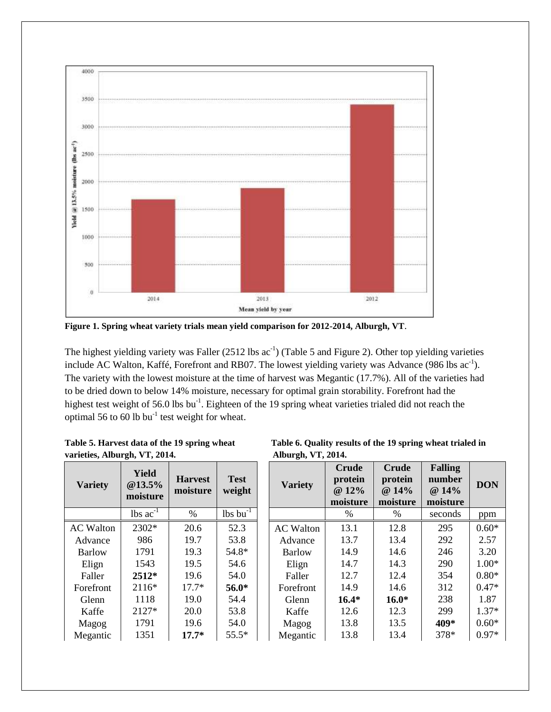

**Figure 1. Spring wheat variety trials mean yield comparison for 2012-2014, Alburgh, VT**.

The highest yielding variety was Faller  $(2512 \text{ lbs } ac^{-1})$  (Table 5 and Figure 2). Other top yielding varieties include AC Walton, Kaffé, Forefront and RB07. The lowest yielding variety was Advance (986 lbs  $ac^{-1}$ ). The variety with the lowest moisture at the time of harvest was Megantic (17.7%). All of the varieties had to be dried down to below 14% moisture, necessary for optimal grain storability. Forefront had the highest test weight of 56.0 lbs bu<sup>-1</sup>. Eighteen of the 19 spring wheat varieties trialed did not reach the optimal 56 to 60 lb  $bu^{-1}$  test weight for wheat.

| varieties, Alburgh, VT, 2014. |                                    |                            |                               |  | Alburgh, VT, 2014. |                                              |                                              |                                               |            |
|-------------------------------|------------------------------------|----------------------------|-------------------------------|--|--------------------|----------------------------------------------|----------------------------------------------|-----------------------------------------------|------------|
| <b>Variety</b>                | <b>Yield</b><br>@13.5%<br>moisture | <b>Harvest</b><br>moisture | <b>Test</b><br>weight         |  | <b>Variety</b>     | <b>Crude</b><br>protein<br>@ 12%<br>moisture | <b>Crude</b><br>protein<br>@ 14%<br>moisture | <b>Falling</b><br>number<br>@ 14%<br>moisture | <b>DON</b> |
|                               | $\text{lbs}$ ac <sup>-1</sup>      | $\%$                       | $\text{lbs}$ bu <sup>-1</sup> |  |                    | $\%$                                         | $\%$                                         | seconds                                       | ppm        |
| <b>AC</b> Walton              | 2302*                              | 20.6                       | 52.3                          |  | <b>AC</b> Walton   | 13.1                                         | 12.8                                         | 295                                           | $0.60*$    |
| Advance                       | 986                                | 19.7                       | 53.8                          |  | Advance            | 13.7                                         | 13.4                                         | 292                                           | 2.57       |
| Barlow                        | 1791                               | 19.3                       | 54.8*                         |  | Barlow             | 14.9                                         | 14.6                                         | 246                                           | 3.20       |
| Elign                         | 1543                               | 19.5                       | 54.6                          |  | Elign              | 14.7                                         | 14.3                                         | 290                                           | $1.00*$    |
| Faller                        | $2512*$                            | 19.6                       | 54.0                          |  | Faller             | 12.7                                         | 12.4                                         | 354                                           | $0.80*$    |
| Forefront                     | $2116*$                            | $17.7*$                    | $56.0*$                       |  | Forefront          | 14.9                                         | 14.6                                         | 312                                           | $0.47*$    |
| Glenn                         | 1118                               | 19.0                       | 54.4                          |  | Glenn              | $16.4*$                                      | $16.0*$                                      | 238                                           | 1.87       |
| Kaffe                         | 2127*                              | 20.0                       | 53.8                          |  | Kaffe              | 12.6                                         | 12.3                                         | 299                                           | $1.37*$    |
| Magog                         | 1791                               | 19.6                       | 54.0                          |  | Magog              | 13.8                                         | 13.5                                         | 409*                                          | $0.60*$    |
| Megantic                      | 1351                               | $17.7*$                    | $55.5*$                       |  | Megantic           | 13.8                                         | 13.4                                         | 378*                                          | $0.97*$    |

| Table 5. Harvest data of the 19 spring wheat |  |
|----------------------------------------------|--|
| varieties, Alburgh, VT, 2014.                |  |

Table 6. Quality results of the 19 spring wheat trialed in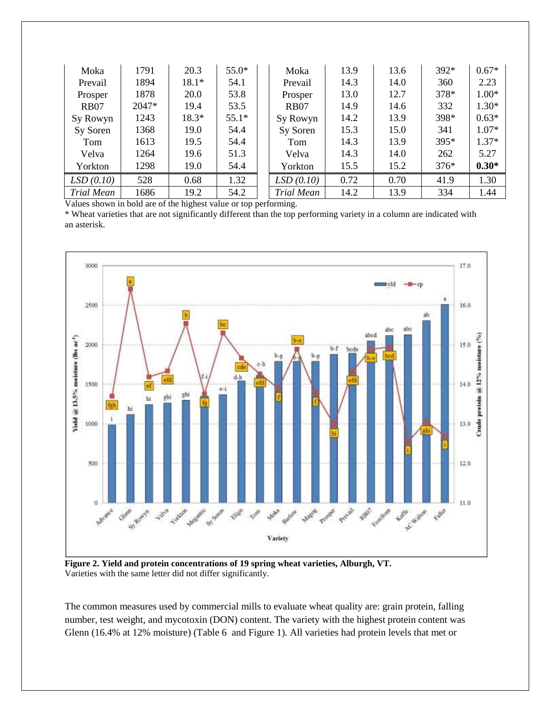| Moka              | 1791  | 20.3    | $55.0*$ | Moka        | 13.9 | 13.6 | $392*$ | $0.67*$ |
|-------------------|-------|---------|---------|-------------|------|------|--------|---------|
| Prevail           | 1894  | $18.1*$ | 54.1    | Prevail     | 14.3 | 14.0 | 360    | 2.23    |
| Prosper           | 1878  | 20.0    | 53.8    | Prosper     | 13.0 | 12.7 | 378*   | $1.00*$ |
| R <sub>B</sub> 07 | 2047* | 19.4    | 53.5    | <b>RB07</b> | 14.9 | 14.6 | 332    | $1.30*$ |
| Sy Rowyn          | 1243  | 18.3*   | $55.1*$ | Sy Rowyn    | 14.2 | 13.9 | 398*   | $0.63*$ |
| Sy Soren          | 1368  | 19.0    | 54.4    | Sy Soren    | 15.3 | 15.0 | 341    | $1.07*$ |
| Tom               | 1613  | 19.5    | 54.4    | Tom         | 14.3 | 13.9 | 395*   | $1.37*$ |
| Velva             | 1264  | 19.6    | 51.3    | Velva       | 14.3 | 14.0 | 262    | 5.27    |
| Yorkton           | 1298  | 19.0    | 54.4    | Yorkton     | 15.5 | 15.2 | $376*$ | $0.30*$ |
| LSD(0.10)         | 528   | 0.68    | 1.32    | LSD(0.10)   | 0.72 | 0.70 | 41.9   | 1.30    |
| Trial Mean        | 1686  | 19.2    | 54.2    | Trial Mean  | 14.2 | 13.9 | 334    | 1.44    |

Values shown in bold are of the highest value or top performing.

\* Wheat varieties that are not significantly different than the top performing variety in a column are indicated with an asterisk.



**Figure 2. Yield and protein concentrations of 19 spring wheat varieties, Alburgh, VT.** Varieties with the same letter did not differ significantly.

The common measures used by commercial mills to evaluate wheat quality are: grain protein, falling number, test weight, and mycotoxin (DON) content. The variety with the highest protein content was Glenn (16.4% at 12% moisture) (Table 6 and Figure 1). All varieties had protein levels that met or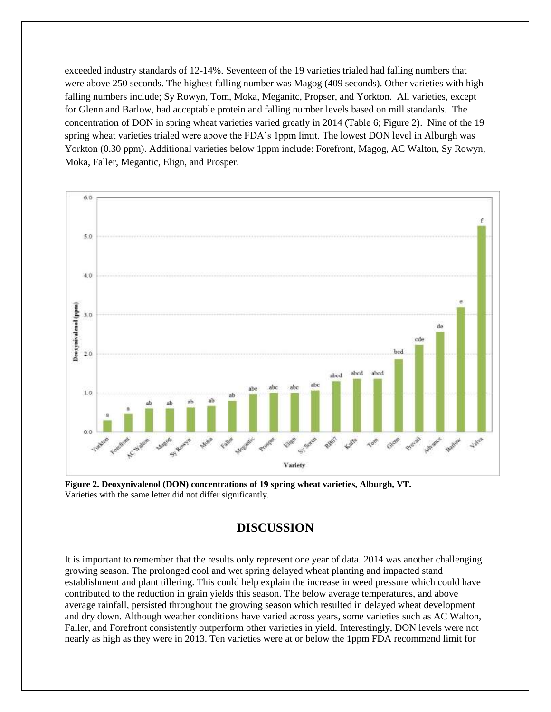exceeded industry standards of 12-14%. Seventeen of the 19 varieties trialed had falling numbers that were above 250 seconds. The highest falling number was Magog (409 seconds). Other varieties with high falling numbers include; Sy Rowyn, Tom, Moka, Meganitc, Propser, and Yorkton. All varieties, except for Glenn and Barlow, had acceptable protein and falling number levels based on mill standards. The concentration of DON in spring wheat varieties varied greatly in 2014 (Table 6; Figure 2). Nine of the 19 spring wheat varieties trialed were above the FDA's 1ppm limit. The lowest DON level in Alburgh was Yorkton (0.30 ppm). Additional varieties below 1ppm include: Forefront, Magog, AC Walton, Sy Rowyn, Moka, Faller, Megantic, Elign, and Prosper.



**Figure 2. Deoxynivalenol (DON) concentrations of 19 spring wheat varieties, Alburgh, VT.** Varieties with the same letter did not differ significantly.

## **DISCUSSION**

It is important to remember that the results only represent one year of data. 2014 was another challenging growing season. The prolonged cool and wet spring delayed wheat planting and impacted stand establishment and plant tillering. This could help explain the increase in weed pressure which could have contributed to the reduction in grain yields this season. The below average temperatures, and above average rainfall, persisted throughout the growing season which resulted in delayed wheat development and dry down. Although weather conditions have varied across years, some varieties such as AC Walton, Faller, and Forefront consistently outperform other varieties in yield. Interestingly, DON levels were not nearly as high as they were in 2013. Ten varieties were at or below the 1ppm FDA recommend limit for